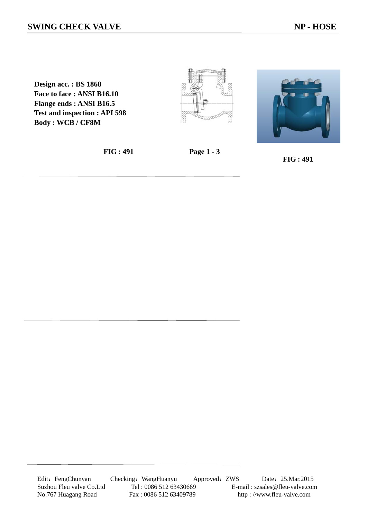**Design acc. : BS 1868 Face to face : ANSI B16.10 Flange ends : ANSI B16.5 Test and inspection : API 598 Body : WCB / CF8M** 





**FIG : 491 Page 1 - 3**

 **FIG : 491** 

Edit: FengChunyan Checking: WangHuanyu Approved: ZWS Date: 25.Mar.2015 Suzhou Fleu valve Co.Ltd Tel : 0086 512 63430669 E-mail : szsales@fleu-valve.com<br>No.767 Huagang Road Fax : 0086 512 63409789 http : //www.fleu-valve.com http://www.fleu-valve.com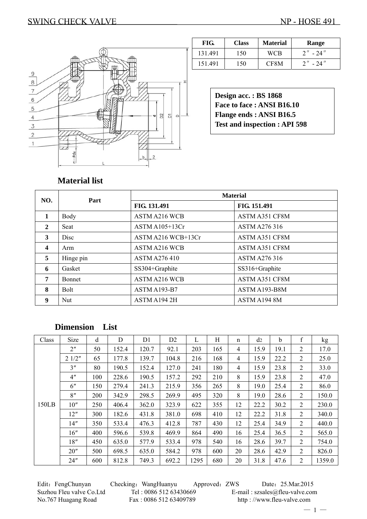

| FIG.    | <b>Class</b> | <b>Material</b> | Range        |
|---------|--------------|-----------------|--------------|
| 131.491 | 150          | WCB             | $2'' - 24''$ |
| 151.491 | 150          | CF8M            | $2'' - 24''$ |

**Design acc. : BS 1868 Face to face : ANSI B16.10 Flange ends : ANSI B16.5 Test and inspection : API 598** 

# **Material list**

| NO.                     | Part          | <b>Material</b>      |                       |  |  |  |  |  |
|-------------------------|---------------|----------------------|-----------------------|--|--|--|--|--|
|                         |               | FIG. 131.491         | FIG. 151.491          |  |  |  |  |  |
| $\mathbf{1}$            | Body          | <b>ASTM A216 WCB</b> | ASTM A351 CF8M        |  |  |  |  |  |
| $\mathbf{2}$            | Seat          | ASTM A105+13Cr       | <b>ASTM A276 316</b>  |  |  |  |  |  |
| 3                       | Disc          | ASTM A216 WCB+13Cr   | <b>ASTM A351 CF8M</b> |  |  |  |  |  |
| $\overline{\mathbf{4}}$ | Arm           | <b>ASTM A216 WCB</b> | <b>ASTM A351 CF8M</b> |  |  |  |  |  |
| 5                       | Hinge pin     | <b>ASTM A276 410</b> | <b>ASTM A276 316</b>  |  |  |  |  |  |
| 6                       | Gasket        | SS304+Graphite       | SS316+Graphite        |  |  |  |  |  |
| 7                       | <b>Bonnet</b> | <b>ASTM A216 WCB</b> | ASTM A351 CF8M        |  |  |  |  |  |
| 8                       | <b>Bolt</b>   | ASTM A193-B7         | ASTM A193-B8M         |  |  |  |  |  |
| 9                       | Nut           | ASTM A194 2H         | ASTM A194 8M          |  |  |  |  |  |

## **Dimension List**

| Class | Size            | d   | D     | D <sub>1</sub> | D <sub>2</sub> | L    | H   | n  | d <sub>2</sub> | $\mathbf b$ | $\boldsymbol{f}$ | kg     |
|-------|-----------------|-----|-------|----------------|----------------|------|-----|----|----------------|-------------|------------------|--------|
|       | 2 <sup>n</sup>  | 50  | 152.4 | 120.7          | 92.1           | 203  | 165 | 4  | 15.9           | 19.1        | 2                | 17.0   |
|       | 21/2"           | 65  | 177.8 | 139.7          | 104.8          | 216  | 168 | 4  | 15.9           | 22.2        | 2                | 25.0   |
|       | 3''             | 80  | 190.5 | 152.4          | 127.0          | 241  | 180 | 4  | 15.9           | 23.8        | $\overline{2}$   | 33.0   |
|       | 4 <sup>''</sup> | 100 | 228.6 | 190.5          | 157.2          | 292  | 210 | 8  | 15.9           | 23.8        | 2                | 47.0   |
|       | 6"              | 150 | 279.4 | 241.3          | 215.9          | 356  | 265 | 8  | 19.0           | 25.4        | 2                | 86.0   |
|       | 8"              | 200 | 342.9 | 298.5          | 269.9          | 495  | 320 | 8  | 19.0           | 28.6        | 2                | 150.0  |
| 150LB | 10"             | 250 | 406.4 | 362.0          | 323.9          | 622  | 355 | 12 | 22.2           | 30.2        | 2                | 230.0  |
|       | 12"             | 300 | 182.6 | 431.8          | 381.0          | 698  | 410 | 12 | 22.2           | 31.8        | $\overline{2}$   | 340.0  |
|       | 14"             | 350 | 533.4 | 476.3          | 412.8          | 787  | 430 | 12 | 25.4           | 34.9        | 2                | 440.0  |
|       | 16"             | 400 | 596.6 | 539.8          | 469.9          | 864  | 490 | 16 | 25.4           | 36.5        | $\overline{2}$   | 565.0  |
|       | 18"             | 450 | 635.0 | 577.9          | 533.4          | 978  | 540 | 16 | 28.6           | 39.7        | 2                | 754.0  |
|       | 20"             | 500 | 698.5 | 635.0          | 584.2          | 978  | 600 | 20 | 28.6           | 42.9        | 2                | 826.0  |
|       | 24"             | 600 | 812.8 | 749.3          | 692.2          | 1295 | 680 | 20 | 31.8           | 47.6        | 2                | 1359.0 |

Edit: FengChunyan Checking: WangHuanyu Approved: ZWS Date: 25.Mar.2015 Suzhou Fleu valve Co.Ltd Tel : 0086 512 63430669 E-mail : szsales@fleu-valve.com No.767 Huagang Road Fax : 0086 512 63409789 http : //www.fleu-valve.com

 $-1-$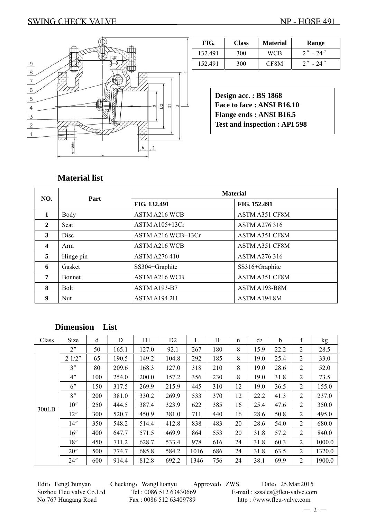### SWING CHECK VALVE NP - HOSE 491



| FIG.    | <b>Class</b> | <b>Material</b> | Range        |
|---------|--------------|-----------------|--------------|
| 132.491 | <b>300</b>   | <b>WCB</b>      | $2'' - 24''$ |
| 152.491 | 300          | CF8M            | $2'' - 24''$ |

**Design acc. : BS 1868 Face to face : ANSI B16.10 Flange ends : ANSI B16.5 Test and inspection : API 598** 

#### **Material list**

| NO.              | Part          | <b>Material</b>      |                      |  |  |  |  |  |
|------------------|---------------|----------------------|----------------------|--|--|--|--|--|
|                  |               | FIG. 132.491         | FIG. 152.491         |  |  |  |  |  |
| $\mathbf{1}$     | Body          | <b>ASTM A216 WCB</b> | ASTM A351 CF8M       |  |  |  |  |  |
| $\mathbf{2}$     | Seat          | ASTM A105+13Cr       | <b>ASTM A276 316</b> |  |  |  |  |  |
| 3                | <b>Disc</b>   | ASTM A216 WCB+13Cr   | ASTM A351 CF8M       |  |  |  |  |  |
| $\boldsymbol{4}$ | Arm           | <b>ASTM A216 WCB</b> | ASTM A351 CF8M       |  |  |  |  |  |
| 5                | Hinge pin     | <b>ASTM A276 410</b> | <b>ASTM A276 316</b> |  |  |  |  |  |
| 6                | Gasket        | SS304+Graphite       | SS316+Graphite       |  |  |  |  |  |
| 7                | <b>Bonnet</b> | <b>ASTM A216 WCB</b> | ASTM A351 CF8M       |  |  |  |  |  |
| 8                | <b>Bolt</b>   | ASTM A193-B7         | ASTM A193-B8M        |  |  |  |  |  |
| 9                | Nut           | ASTM A194 2H         | ASTM A194 8M         |  |  |  |  |  |

## **Dimension List**

| Class | Size           | d   | D     | D <sub>1</sub> | D <sub>2</sub> | L    | Η   | $\mathbf n$ | d2   | <sub>b</sub> | $\mathbf f$ | kg     |
|-------|----------------|-----|-------|----------------|----------------|------|-----|-------------|------|--------------|-------------|--------|
|       | 2 <sup>n</sup> | 50  | 165.1 | 127.0          | 92.1           | 267  | 180 | 8           | 15.9 | 22.2         | 2           | 28.5   |
|       | 21/2"          | 65  | 190.5 | 149.2          | 104.8          | 292  | 185 | 8           | 19.0 | 25.4         | 2           | 33.0   |
|       | 3''            | 80  | 209.6 | 168.3          | 127.0          | 318  | 210 | 8           | 19.0 | 28.6         | 2           | 52.0   |
|       | 4"             | 100 | 254.0 | 200.0          | 157.2          | 356  | 230 | 8           | 19.0 | 31.8         | 2           | 73.5   |
|       | 6"             | 150 | 317.5 | 269.9          | 215.9          | 445  | 310 | 12          | 19.0 | 36.5         | 2           | 155.0  |
|       | 8"             | 200 | 381.0 | 330.2          | 269.9          | 533  | 370 | 12          | 22.2 | 41.3         | 2           | 237.0  |
| 300LB | 10"            | 250 | 444.5 | 387.4          | 323.9          | 622  | 385 | 16          | 25.4 | 47.6         | 2           | 350.0  |
|       | 12"            | 300 | 520.7 | 450.9          | 381.0          | 711  | 440 | 16          | 28.6 | 50.8         | 2           | 495.0  |
|       | 14"            | 350 | 548.2 | 514.4          | 412.8          | 838  | 483 | 20          | 28.6 | 54.0         | 2           | 680.0  |
|       | 16"            | 400 | 647.7 | 571.5          | 469.9          | 864  | 553 | 20          | 31.8 | 57.2         | 2           | 840.0  |
|       | 18"            | 450 | 711.2 | 628.7          | 533.4          | 978  | 616 | 24          | 31.8 | 60.3         | 2           | 1000.0 |
|       | 20"            | 500 | 774.7 | 685.8          | 584.2          | 1016 | 686 | 24          | 31.8 | 63.5         | 2           | 1320.0 |
|       | 24"            | 600 | 914.4 | 812.8          | 692.2          | 1346 | 756 | 24          | 38.1 | 69.9         | 2           | 1900.0 |

No.767 Huagang Road Fax : 0086 512 63409789 http : //www.fleu-valve.com

Edit: FengChunyan Checking: WangHuanyu Approved: ZWS Date: 25.Mar.2015 Suzhou Fleu valve Co.Ltd Tel : 0086 512 63430669 E-mail : szsales@fleu-valve.com

 $-2-$